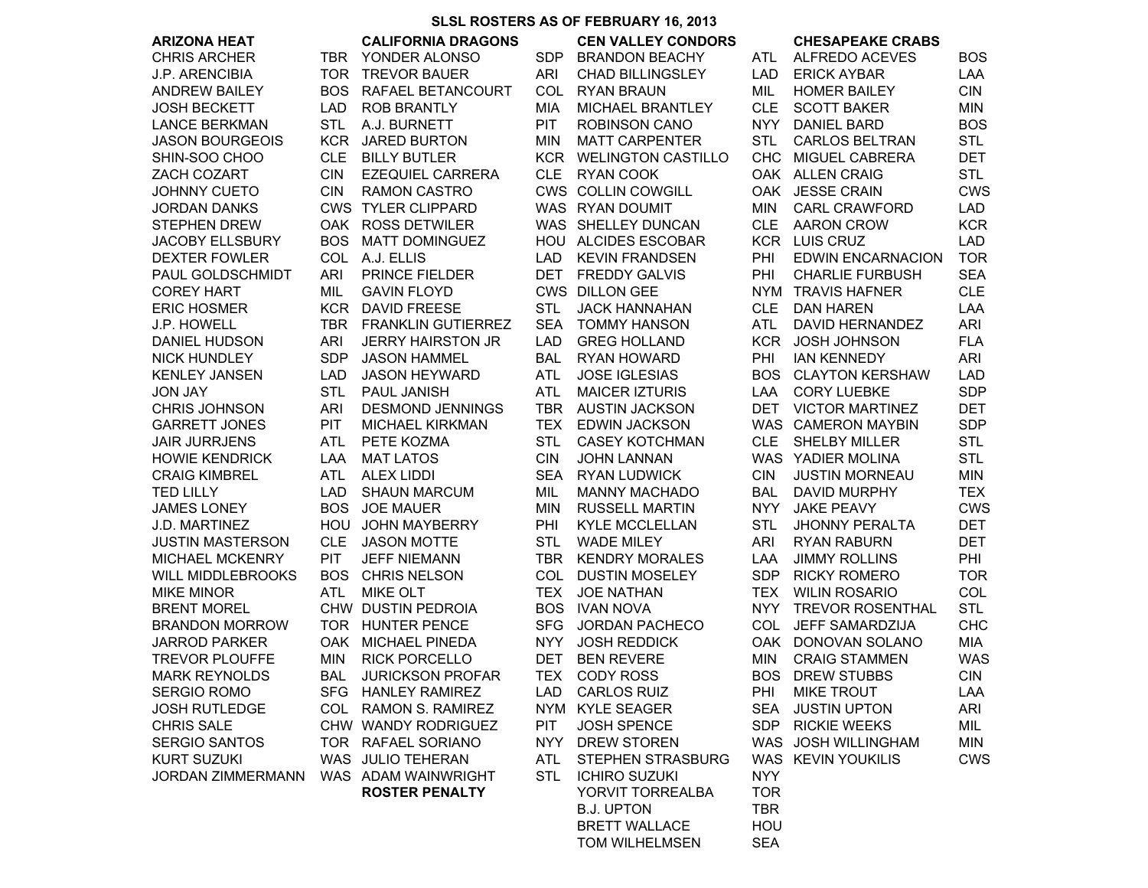**SLSL ROSTERS AS OF FEBRUARY 16, 2013**

| <b>CHESAPEAKE CRABS</b> |  |  |
|-------------------------|--|--|
|                         |  |  |

| <b>ARIZONA HEAT</b>      |            | <b>CALIFORNIA DRAGONS</b> |            | <b>CEN VALLEY CONDORS</b>  |                | <b>CHESAPEAKE CRABS</b>  |            |
|--------------------------|------------|---------------------------|------------|----------------------------|----------------|--------------------------|------------|
| <b>CHRIS ARCHER</b>      | TBR.       | YONDER ALONSO             | <b>SDP</b> | <b>BRANDON BEACHY</b>      | ATL            | ALFREDO ACEVES           | <b>BOS</b> |
| J.P. ARENCIBIA           | <b>TOR</b> | <b>TREVOR BAUER</b>       | <b>ARI</b> | <b>CHAD BILLINGSLEY</b>    | <b>LAD</b>     | <b>ERICK AYBAR</b>       | LAA        |
| <b>ANDREW BAILEY</b>     | <b>BOS</b> | RAFAEL BETANCOURT         | <b>COL</b> | <b>RYAN BRAUN</b>          | MIL            | <b>HOMER BAILEY</b>      | <b>CIN</b> |
| <b>JOSH BECKETT</b>      | <b>LAD</b> | <b>ROB BRANTLY</b>        | <b>MIA</b> | <b>MICHAEL BRANTLEY</b>    | <b>CLE</b>     | <b>SCOTT BAKER</b>       | MIN        |
| <b>LANCE BERKMAN</b>     | <b>STL</b> | A.J. BURNETT              | PIT        | <b>ROBINSON CANO</b>       | <b>NYY</b>     | <b>DANIEL BARD</b>       | <b>BOS</b> |
| <b>JASON BOURGEOIS</b>   | <b>KCR</b> | <b>JARED BURTON</b>       | <b>MIN</b> | <b>MATT CARPENTER</b>      | <b>STL</b>     | <b>CARLOS BELTRAN</b>    | STL        |
| SHIN-SOO CHOO            | <b>CLE</b> | <b>BILLY BUTLER</b>       | <b>KCR</b> | <b>WELINGTON CASTILLO</b>  | <b>CHC</b>     | MIGUEL CABRERA           | <b>DET</b> |
| ZACH COZART              | <b>CIN</b> | <b>EZEQUIEL CARRERA</b>   | <b>CLE</b> | <b>RYAN COOK</b>           |                | OAK ALLEN CRAIG          | <b>STL</b> |
| <b>JOHNNY CUETO</b>      | <b>CIN</b> | <b>RAMON CASTRO</b>       |            | CWS COLLIN COWGILL         |                | OAK JESSE CRAIN          | <b>CWS</b> |
| <b>JORDAN DANKS</b>      |            | <b>CWS TYLER CLIPPARD</b> |            | WAS RYAN DOUMIT            | <b>MIN</b>     | CARL CRAWFORD            | LAD        |
| <b>STEPHEN DREW</b>      |            | OAK ROSS DETWILER         |            | WAS SHELLEY DUNCAN         | <b>CLE</b>     | <b>AARON CROW</b>        | <b>KCR</b> |
| <b>JACOBY ELLSBURY</b>   | <b>BOS</b> | <b>MATT DOMINGUEZ</b>     |            | <b>HOU ALCIDES ESCOBAR</b> |                | <b>KCR LUIS CRUZ</b>     | LAD        |
| <b>DEXTER FOWLER</b>     | COL        | A.J. ELLIS                | <b>LAD</b> | <b>KEVIN FRANDSEN</b>      | PHI            | <b>EDWIN ENCARNACION</b> | <b>TOR</b> |
| PAUL GOLDSCHMIDT         | ARI        | <b>PRINCE FIELDER</b>     | <b>DET</b> | <b>FREDDY GALVIS</b>       | PHI            | <b>CHARLIE FURBUSH</b>   | <b>SEA</b> |
| <b>COREY HART</b>        | MIL        | <b>GAVIN FLOYD</b>        |            | <b>CWS DILLON GEE</b>      |                | NYM TRAVIS HAFNER        | <b>CLE</b> |
| <b>ERIC HOSMER</b>       | <b>KCR</b> | <b>DAVID FREESE</b>       | <b>STL</b> | <b>JACK HANNAHAN</b>       | <b>CLE</b>     | <b>DAN HAREN</b>         | LAA        |
| J.P. HOWELL              | TBR.       | <b>FRANKLIN GUTIERREZ</b> | <b>SEA</b> | <b>TOMMY HANSON</b>        | ATL            | DAVID HERNANDEZ          | <b>ARI</b> |
| DANIEL HUDSON            | <b>ARI</b> | <b>JERRY HAIRSTON JR</b>  | <b>LAD</b> | <b>GREG HOLLAND</b>        | <b>KCR</b>     | <b>JOSH JOHNSON</b>      | <b>FLA</b> |
| <b>NICK HUNDLEY</b>      | <b>SDP</b> | <b>JASON HAMMEL</b>       | <b>BAL</b> | <b>RYAN HOWARD</b>         | PHI            | <b>IAN KENNEDY</b>       | <b>ARI</b> |
| <b>KENLEY JANSEN</b>     | LAD        | <b>JASON HEYWARD</b>      | ATL        | <b>JOSE IGLESIAS</b>       | <b>BOS</b>     | <b>CLAYTON KERSHAW</b>   | <b>LAD</b> |
| <b>JON JAY</b>           | <b>STL</b> | <b>PAUL JANISH</b>        | ATL        | <b>MAICER IZTURIS</b>      | LAA            | <b>CORY LUEBKE</b>       | <b>SDP</b> |
| <b>CHRIS JOHNSON</b>     | <b>ARI</b> | <b>DESMOND JENNINGS</b>   | TBR        | <b>AUSTIN JACKSON</b>      | DET            | <b>VICTOR MARTINEZ</b>   | DET        |
| <b>GARRETT JONES</b>     | <b>PIT</b> | <b>MICHAEL KIRKMAN</b>    | TEX        | <b>EDWIN JACKSON</b>       |                | WAS CAMERON MAYBIN       | <b>SDP</b> |
| <b>JAIR JURRJENS</b>     | <b>ATL</b> | PETE KOZMA                | <b>STL</b> | <b>CASEY KOTCHMAN</b>      | CLE.           | <b>SHELBY MILLER</b>     | <b>STL</b> |
| <b>HOWIE KENDRICK</b>    | LAA        | <b>MAT LATOS</b>          | <b>CIN</b> | <b>JOHN LANNAN</b>         |                | WAS YADIER MOLINA        | STL        |
| <b>CRAIG KIMBREL</b>     | ATL        | <b>ALEX LIDDI</b>         | <b>SEA</b> | <b>RYAN LUDWICK</b>        | <b>CIN</b>     | <b>JUSTIN MORNEAU</b>    | <b>MIN</b> |
| <b>TED LILLY</b>         | <b>LAD</b> | <b>SHAUN MARCUM</b>       | MIL        | <b>MANNY MACHADO</b>       | <b>BAL</b>     | <b>DAVID MURPHY</b>      | <b>TEX</b> |
| <b>JAMES LONEY</b>       | <b>BOS</b> | <b>JOE MAUER</b>          | <b>MIN</b> | <b>RUSSELL MARTIN</b>      | <b>NYY</b>     | <b>JAKE PEAVY</b>        | <b>CWS</b> |
| J.D. MARTINEZ            | HOU        | <b>JOHN MAYBERRY</b>      | PHI        | <b>KYLE MCCLELLAN</b>      | STL            | <b>JHONNY PERALTA</b>    | <b>DET</b> |
| <b>JUSTIN MASTERSON</b>  | <b>CLE</b> | <b>JASON MOTTE</b>        | <b>STL</b> | <b>WADE MILEY</b>          | <b>ARI</b>     | <b>RYAN RABURN</b>       | <b>DET</b> |
| <b>MICHAEL MCKENRY</b>   | PIT        | <b>JEFF NIEMANN</b>       | <b>TBR</b> | <b>KENDRY MORALES</b>      | LAA            | <b>JIMMY ROLLINS</b>     | PHI        |
| <b>WILL MIDDLEBROOKS</b> | <b>BOS</b> | <b>CHRIS NELSON</b>       | COL        | <b>DUSTIN MOSELEY</b>      | <b>SDP</b>     | <b>RICKY ROMERO</b>      | <b>TOR</b> |
| <b>MIKE MINOR</b>        | ATL        | <b>MIKE OLT</b>           | <b>TEX</b> | <b>JOE NATHAN</b>          | <b>TEX</b>     | <b>WILIN ROSARIO</b>     | <b>COL</b> |
| <b>BRENT MOREL</b>       |            | CHW DUSTIN PEDROIA        | <b>BOS</b> | <b>IVAN NOVA</b>           | NYY.           | <b>TREVOR ROSENTHAL</b>  | <b>STL</b> |
| <b>BRANDON MORROW</b>    |            | TOR HUNTER PENCE          | <b>SFG</b> | <b>JORDAN PACHECO</b>      | COL            | JEFF SAMARDZIJA          | <b>CHC</b> |
| <b>JARROD PARKER</b>     |            | OAK MICHAEL PINEDA        | <b>NYY</b> | <b>JOSH REDDICK</b>        |                | OAK DONOVAN SOLANO       | MIA        |
| <b>TREVOR PLOUFFE</b>    | MIN        | <b>RICK PORCELLO</b>      | <b>DET</b> | <b>BEN REVERE</b>          | <b>MIN</b>     | <b>CRAIG STAMMEN</b>     | <b>WAS</b> |
| <b>MARK REYNOLDS</b>     | <b>BAL</b> | <b>JURICKSON PROFAR</b>   | <b>TEX</b> | <b>CODY ROSS</b>           | <b>BOS</b>     | <b>DREW STUBBS</b>       | <b>CIN</b> |
| SERGIO ROMO              |            | SFG HANLEY RAMIREZ        | LAD.       | <b>CARLOS RUIZ</b>         | PHI            | <b>MIKE TROUT</b>        | LAA        |
| <b>JOSH RUTLEDGE</b>     |            | COL RAMON S. RAMIREZ      |            | NYM KYLE SEAGER            |                | SEA JUSTIN UPTON         | ARI        |
| <b>CHRIS SALE</b>        |            | CHW WANDY RODRIGUEZ       | PIT        | <b>JOSH SPENCE</b>         |                | SDP RICKIE WEEKS         | MIL        |
| <b>SERGIO SANTOS</b>     |            | TOR RAFAEL SORIANO        | NYY .      | <b>DREW STOREN</b>         |                | WAS JOSH WILLINGHAM      | MIN        |
| <b>KURT SUZUKI</b>       |            | WAS JULIO TEHERAN         | ATL        | <b>STEPHEN STRASBURG</b>   |                | WAS KEVIN YOUKILIS       | <b>CWS</b> |
| <b>JORDAN ZIMMERMANN</b> |            | WAS ADAM WAINWRIGHT       | <b>STL</b> | <b>ICHIRO SUZUKI</b>       | <b>NYY</b>     |                          |            |
|                          |            | <b>ROSTER PENALTY</b>     |            | YORVIT TORREALBA           | <b>TOR</b>     |                          |            |
|                          |            |                           |            | <b>B.J. UPTON</b>          | <b>TBR</b>     |                          |            |
|                          |            |                           |            | <b>BRETT WALLACE</b>       | HOU            |                          |            |
|                          |            |                           |            |                            | $\sim$ $ \sim$ |                          |            |

TOM WILHELMSEN SEA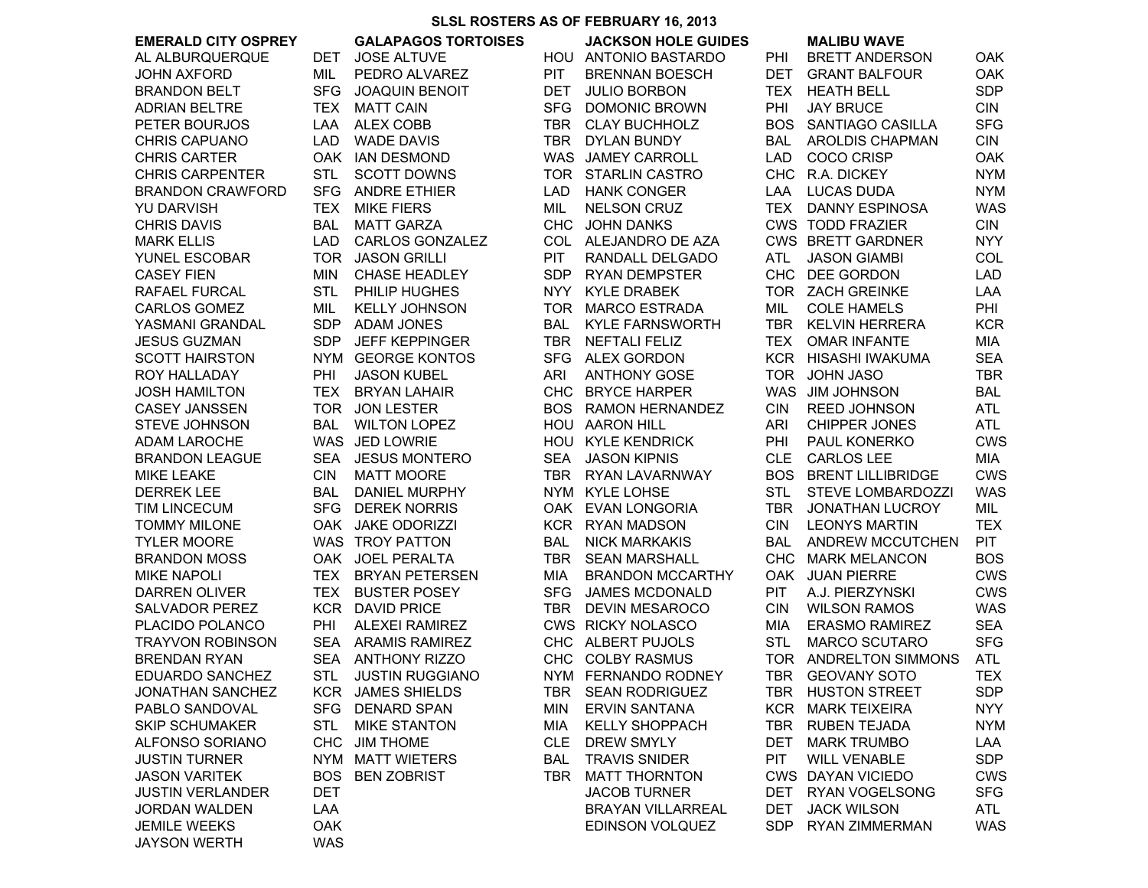| <b>EMERALD CITY OSPREY</b> |            | <b>GALAPAGOS TORTOISES</b> |            | <b>JACKSON HOLE GUIDES</b> |            | <b>MALIBU WAVE</b>       |            |
|----------------------------|------------|----------------------------|------------|----------------------------|------------|--------------------------|------------|
| AL ALBURQUERQUE            | <b>DET</b> | <b>JOSE ALTUVE</b>         |            | HOU ANTONIO BASTARDO       | <b>PHI</b> | <b>BRETT ANDERSON</b>    | <b>OAK</b> |
| <b>JOHN AXFORD</b>         | MIL        | PEDRO ALVAREZ              | <b>PIT</b> | <b>BRENNAN BOESCH</b>      | DET        | <b>GRANT BALFOUR</b>     | <b>OAK</b> |
| <b>BRANDON BELT</b>        | <b>SFG</b> | <b>JOAQUIN BENOIT</b>      | <b>DET</b> | <b>JULIO BORBON</b>        | TEX        | <b>HEATH BELL</b>        | <b>SDP</b> |
| <b>ADRIAN BELTRE</b>       | <b>TEX</b> | <b>MATT CAIN</b>           | <b>SFG</b> | DOMONIC BROWN              | PHI        | <b>JAY BRUCE</b>         | <b>CIN</b> |
| PETER BOURJOS              | LAA        | <b>ALEX COBB</b>           | TBR        | <b>CLAY BUCHHOLZ</b>       | <b>BOS</b> | SANTIAGO CASILLA         | <b>SFG</b> |
| <b>CHRIS CAPUANO</b>       | <b>LAD</b> | <b>WADE DAVIS</b>          | TBR        | <b>DYLAN BUNDY</b>         | BAL        | <b>AROLDIS CHAPMAN</b>   | <b>CIN</b> |
| <b>CHRIS CARTER</b>        |            | OAK IAN DESMOND            |            | WAS JAMEY CARROLL          | LAD.       | <b>COCO CRISP</b>        | <b>OAK</b> |
| <b>CHRIS CARPENTER</b>     | STL        | <b>SCOTT DOWNS</b>         | TOR.       | <b>STARLIN CASTRO</b>      |            | CHC R.A. DICKEY          | <b>NYM</b> |
| <b>BRANDON CRAWFORD</b>    | <b>SFG</b> | <b>ANDRE ETHIER</b>        | <b>LAD</b> | <b>HANK CONGER</b>         | LAA        | <b>LUCAS DUDA</b>        | <b>NYM</b> |
| <b>YU DARVISH</b>          | <b>TEX</b> | <b>MIKE FIERS</b>          | MIL        | <b>NELSON CRUZ</b>         | TEX        | <b>DANNY ESPINOSA</b>    | <b>WAS</b> |
| <b>CHRIS DAVIS</b>         | <b>BAL</b> | <b>MATT GARZA</b>          | <b>CHC</b> | <b>JOHN DANKS</b>          |            | <b>CWS TODD FRAZIER</b>  | <b>CIN</b> |
| <b>MARK ELLIS</b>          | <b>LAD</b> | CARLOS GONZALEZ            |            | COL ALEJANDRO DE AZA       |            | <b>CWS BRETT GARDNER</b> | <b>NYY</b> |
| YUNEL ESCOBAR              | TOR.       | <b>JASON GRILLI</b>        | PIT        | RANDALL DELGADO            | ATL        | <b>JASON GIAMBI</b>      | COL        |
| <b>CASEY FIEN</b>          | <b>MIN</b> | <b>CHASE HEADLEY</b>       | <b>SDP</b> | <b>RYAN DEMPSTER</b>       | <b>CHC</b> | DEE GORDON               | <b>LAD</b> |
| RAFAEL FURCAL              | STL        | PHILIP HUGHES              | NYY.       | <b>KYLE DRABEK</b>         |            | TOR ZACH GREINKE         | LAA        |
| <b>CARLOS GOMEZ</b>        | MIL        | <b>KELLY JOHNSON</b>       | TOR        | <b>MARCO ESTRADA</b>       | MIL        | <b>COLE HAMELS</b>       | PHI        |
| YASMANI GRANDAL            | <b>SDP</b> | <b>ADAM JONES</b>          | <b>BAL</b> | <b>KYLE FARNSWORTH</b>     | TBR        | <b>KELVIN HERRERA</b>    | <b>KCR</b> |
| <b>JESUS GUZMAN</b>        | <b>SDP</b> | <b>JEFF KEPPINGER</b>      | TBR        | NEFTALI FELIZ              | TEX        | <b>OMAR INFANTE</b>      | MIA        |
| <b>SCOTT HAIRSTON</b>      |            | NYM GEORGE KONTOS          | <b>SFG</b> | <b>ALEX GORDON</b>         |            | KCR HISASHI IWAKUMA      | <b>SEA</b> |
| ROY HALLADAY               | PHI        | <b>JASON KUBEL</b>         | <b>ARI</b> | <b>ANTHONY GOSE</b>        | TOR        | <b>JOHN JASO</b>         | <b>TBR</b> |
| <b>JOSH HAMILTON</b>       | <b>TEX</b> | <b>BRYAN LAHAIR</b>        | CHC        | <b>BRYCE HARPER</b>        | <b>WAS</b> | <b>JIM JOHNSON</b>       | <b>BAL</b> |
| <b>CASEY JANSSEN</b>       | TOR.       | <b>JON LESTER</b>          | <b>BOS</b> | <b>RAMON HERNANDEZ</b>     | <b>CIN</b> | <b>REED JOHNSON</b>      | ATL        |
| <b>STEVE JOHNSON</b>       | <b>BAL</b> | <b>WILTON LOPEZ</b>        |            | <b>HOU AARON HILL</b>      | ARI        | <b>CHIPPER JONES</b>     | ATL        |
| <b>ADAM LAROCHE</b>        | <b>WAS</b> | <b>JED LOWRIE</b>          | HOU        | <b>KYLE KENDRICK</b>       | PHI        | PAUL KONERKO             | <b>CWS</b> |
| <b>BRANDON LEAGUE</b>      | <b>SEA</b> | <b>JESUS MONTERO</b>       | <b>SEA</b> | <b>JASON KIPNIS</b>        | <b>CLE</b> | <b>CARLOS LEE</b>        | MIA        |
| <b>MIKE LEAKE</b>          | <b>CIN</b> | <b>MATT MOORE</b>          | TBR        | RYAN LAVARNWAY             | <b>BOS</b> | <b>BRENT LILLIBRIDGE</b> | <b>CWS</b> |
| <b>DERREK LEE</b>          | <b>BAL</b> | DANIEL MURPHY              | <b>NYM</b> | <b>KYLE LOHSE</b>          | <b>STL</b> | <b>STEVE LOMBARDOZZI</b> | <b>WAS</b> |
| <b>TIM LINCECUM</b>        | <b>SFG</b> | <b>DEREK NORRIS</b>        |            | OAK EVAN LONGORIA          | TBR        | JONATHAN LUCROY          | MIL        |
| <b>TOMMY MILONE</b>        |            | OAK JAKE ODORIZZI          | <b>KCR</b> | <b>RYAN MADSON</b>         | <b>CIN</b> | <b>LEONYS MARTIN</b>     | <b>TEX</b> |
| <b>TYLER MOORE</b>         |            | WAS TROY PATTON            | <b>BAL</b> | <b>NICK MARKAKIS</b>       | BAL        | ANDREW MCCUTCHEN         | <b>PIT</b> |
| <b>BRANDON MOSS</b>        |            | OAK JOEL PERALTA           | TBR        | <b>SEAN MARSHALL</b>       | <b>CHC</b> | <b>MARK MELANCON</b>     | <b>BOS</b> |
| <b>MIKE NAPOLI</b>         | <b>TEX</b> | <b>BRYAN PETERSEN</b>      | MIA        | <b>BRANDON MCCARTHY</b>    | OAK        | <b>JUAN PIERRE</b>       | <b>CWS</b> |
| <b>DARREN OLIVER</b>       | <b>TEX</b> | <b>BUSTER POSEY</b>        | <b>SFG</b> | <b>JAMES MCDONALD</b>      | <b>PIT</b> | A.J. PIERZYNSKI          | <b>CWS</b> |
| <b>SALVADOR PEREZ</b>      | <b>KCR</b> | <b>DAVID PRICE</b>         | <b>TBR</b> | <b>DEVIN MESAROCO</b>      | <b>CIN</b> | <b>WILSON RAMOS</b>      | <b>WAS</b> |
| PLACIDO POLANCO            | PHI        | <b>ALEXEI RAMIREZ</b>      | <b>CWS</b> | <b>RICKY NOLASCO</b>       | MIA        | <b>ERASMO RAMIREZ</b>    | <b>SEA</b> |
| <b>TRAYVON ROBINSON</b>    | <b>SEA</b> | <b>ARAMIS RAMIREZ</b>      | <b>CHC</b> | <b>ALBERT PUJOLS</b>       | <b>STL</b> | <b>MARCO SCUTARO</b>     | <b>SFG</b> |
| <b>BRENDAN RYAN</b>        | <b>SEA</b> | <b>ANTHONY RIZZO</b>       | <b>CHC</b> | <b>COLBY RASMUS</b>        | TOR.       | <b>ANDRELTON SIMMONS</b> | <b>ATL</b> |
| <b>EDUARDO SANCHEZ</b>     | <b>STL</b> | <b>JUSTIN RUGGIANO</b>     | <b>NYM</b> | <b>FERNANDO RODNEY</b>     | <b>TBR</b> | <b>GEOVANY SOTO</b>      | <b>TEX</b> |
| <b>JONATHAN SANCHEZ</b>    |            | <b>KCR JAMES SHIELDS</b>   |            | TBR SEAN RODRIGUEZ         |            | TBR HUSTON STREET        | <b>SDP</b> |
| PABLO SANDOVAL             |            | SFG DENARD SPAN            | MIN        | <b>ERVIN SANTANA</b>       |            | KCR MARK TEIXEIRA        | <b>NYY</b> |
| <b>SKIP SCHUMAKER</b>      | STL        | <b>MIKE STANTON</b>        | MIA        | <b>KELLY SHOPPACH</b>      | TBR        | <b>RUBEN TEJADA</b>      | <b>NYM</b> |
| ALFONSO SORIANO            |            | CHC JIM THOME              | <b>CLE</b> | <b>DREW SMYLY</b>          | DET        | <b>MARK TRUMBO</b>       | LAA        |
| <b>JUSTIN TURNER</b>       |            | NYM MATT WIETERS           | <b>BAL</b> | <b>TRAVIS SNIDER</b>       | PIT        | <b>WILL VENABLE</b>      | <b>SDP</b> |
| <b>JASON VARITEK</b>       |            | <b>BOS BEN ZOBRIST</b>     | TBR        | <b>MATT THORNTON</b>       |            | <b>CWS DAYAN VICIEDO</b> | <b>CWS</b> |
| <b>JUSTIN VERLANDER</b>    | <b>DET</b> |                            |            | <b>JACOB TURNER</b>        |            | DET RYAN VOGELSONG       | <b>SFG</b> |
| <b>JORDAN WALDEN</b>       | LAA        |                            |            | <b>BRAYAN VILLARREAL</b>   | DET        | <b>JACK WILSON</b>       | ATL        |
| <b>JEMILE WEEKS</b>        | <b>OAK</b> |                            |            | EDINSON VOLQUEZ            | SDP        | <b>RYAN ZIMMERMAN</b>    | <b>WAS</b> |
| <b>JAYSON WERTH</b>        | <b>WAS</b> |                            |            |                            |            |                          |            |

**SLSL ROSTERS AS OF FEBRUARY 16, 2013**